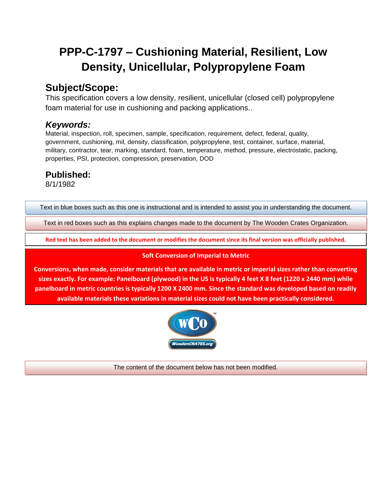# **PPP-C-1797 – Cushioning Material, Resilient, Low Density, Unicellular, Polypropylene Foam**

## **Subject/Scope:**

This specification covers a low density, resilient, unicellular (closed cell) polypropylene foam material for use in cushioning and packing applications..

### *Keywords:*

Material, inspection, roll, specimen, sample, specification, requirement, defect, federal, quality, government, cushioning, mil, density, classification, polypropylene, test, container, surface, material, military, contractor, tear, marking, standard, foam, temperature, method, pressure, electrostatic, packing, properties, PSI, protection, compression, preservation, DOD

### **Published:**

8/1/1982

Text in blue boxes such as this one is instructional and is intended to assist you in understanding the document.

Text in red boxes such as this explains changes made to the document by The Wooden Crates Organization.

**Red text has been added to the document or modifies the document since its final version was officially published.**

### **Soft Conversion of Imperial to Metric**

**Conversions, when made, consider materials that are available in metric or imperial sizes rather than converting sizes exactly. For example: Panelboard (plywood) in the US is typically 4 feet X 8 feet (1220 x 2440 mm) while panelboard in metric countries is typically 1200 X 2400 mm. Since the standard was developed based on readily available materials these variations in material sizes could not have been practically considered.**



The content of the document below has not been modified.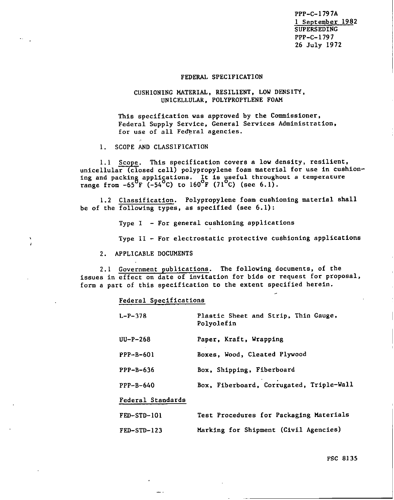PPP-C- 1797A 1 September 1982 SUPERSEDING PPP-C-179 7 26 July 1972

#### FEDERAL SPECIFICATION

#### CUSHIONING MATERIAL , RESILIENT, LOW DENSITY, UNICELLULAR , POLYPROPYLENE FOAM

This specification was approved by the Commissioner, Federal Supply Service, General Services Administration, for use of all Fe@ral agencies.

1. SCOPE AND CLASSIFICATION

1.1 Scope. This specification covers a low density, resilient, unicellular (closed cell) polypropylene foam material for use in cushioning and packing appliçations. It is useful throughout a temperatur range from -65 F (-54 C) to 160°F (71°C) (see 6. 1) .

1.2 Classification. Polypropylene foam cushioning material shall be of the  $\overline{following types}$ , as specified (see  $6.1$ ):

Type I - For general cushioning applications

Type 11 - For electrostatic protective cushioning applications

2. APPLICABLE DOCUMENTS

I

2.1 Government publicaciona. The following documents, of the issues in effect on date of invitation for bids or request for proposal, form a part of this specification to the extent specified herein.

#### Federal Specifications

| $L-P-378$         | Plastic Sheet and Strip, Thin Gauge,<br>Polyolefin |
|-------------------|----------------------------------------------------|
| $UU-P-268$        | Paper, Kraft, Wrapping                             |
| PPP-B-601         | Boxes, Wood, Cleated Plywood                       |
| $PPP-B-636$       | Box, Shipping, Fiberboard                          |
| $PPP-B-640$       | Box, Fiberboard, Corrugated, Triple-Wall           |
| Federal Standards |                                                    |
| $FED-STD-101$     | Test Procedures for Packaging Materials            |
| FED-STD-123       | Marking for Shipment (Civil Agencies)              |

FSC 8135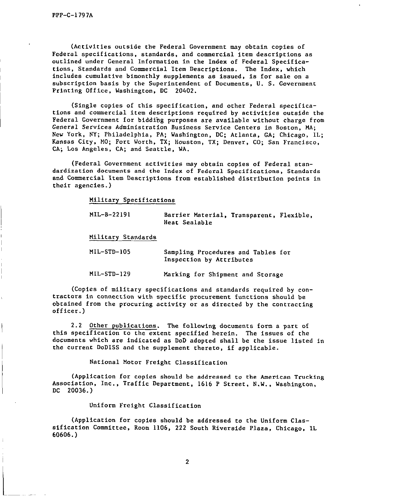I

I

(Activities outside the Federal Government may obtain copies of Federal specifications, standards, and commercial item descriptions as outlined under General Information in the Index of Federal Specifications, Standards and Commercial Item Descriptions. The Index, which includes cumulative bimonthly supplements as issued, is for sale cm a subscription basis by the Superintendent of Documents, U. S. Government Printing Office, Washington, DC 20402.

(Single copies of this specification, and other Federal specifications and commercial item descriptions required by activities outside the Federal Government for bidding purposes are available without charge from General Services Administration Business Service Centers in Boston, MA; New York, NY; Philadelphia, PA; Washington, DC; Atlanta, GA; Chicago, IL; Kansas City, MO; Fort Worth, TX; Houston, TX; Denver, CO; San Francisco, CA; Los Angeles, CA; and Seattle, MA.

(Federal Government activities may obtain copies of Federal standardization documents and che Index of Federal Specifications, Standards and Commercial Item Descriptions from established distribution points in their agencies. )

Military Specifications

| $MIL-B-22191$      | Barrier Material, Transparent, Flexible,<br>Heat Sealable |  |
|--------------------|-----------------------------------------------------------|--|
| Military Standards |                                                           |  |
| MIL-STD-105        | Sampling Procedures and Tables for                        |  |

| $MLL-STD-105$ | Sampling Procedures and Tables for |  |
|---------------|------------------------------------|--|
|               | Inspection by Attributes           |  |

MIL-sTD-129 Marking for Shipment and Storage

(Copies of military specifications and standards required by contractors in connection with specific procurement functions should be obtained from the procuring activity or as directed by the contracting off icer. )

2.2 Other publications. The following documents form a part of this specification to the extent specified herein. The issues of the documents which are indicaced as DoD adopted shall be the issue listed in the current DoDISS and the supplement thereto, if applicable.

National Motor Freight Classification

(Application for copies should be addressed to the American Trucking Association, Inc., Traffic Department, 1616 P Street, N.W., Washington, DC 20036. )

#### Uniform Freight Classification

(Application for copies should be addressed to the Uniform Classification Committee, Room 1106, 222 South Riverside Plaza, Chicago, lL 60606. )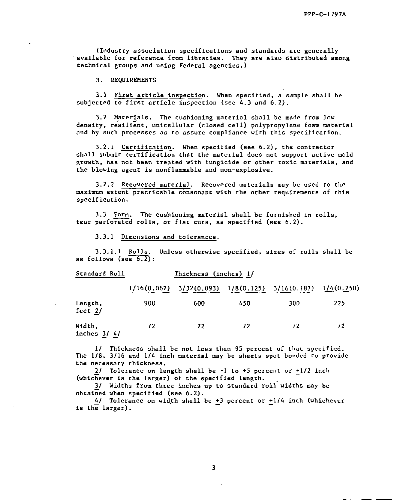(Industry association specifications and standards are generally available for reference from libraries. They are also distributed among technical groups and using Federal agencies. )

3. REQUIREMENTS

 $3.1$  First article inspection. When specified, a sample shall be subjected to first article inspection (see 4.3 and 6.2).

3.2 Materials. The cushioning material shall be made from low density, resilient, unicellular (closed cell) polypropylene foam material and by such processes as to assure compliance with this specification.

3.2.1 Certification. When specified (see 6.2), the contractor shall submit certification that the material does not support active mold growth, has not been treated with fungicide or other toxic materials, and the blowing agent is nonflammable and non-explosive.

3.2.2 Recovered material. Recovered materials may be used to the maximum extent practicable consonant with the other requirements of this specification.

3.3 Form. The cushioning material shall be furnished in rolls, tear perforated rolls, or flat cuts, as specified (see 6.2).

3.3.1 Dimensions and tolerances.

3.3.1.1 Rolls. Unless otherwise specified, sizes of rolls shall be as follows (see  $6.2$ ):

| Standard Roll           | Thickness (inches) 1/ |             |     |                            |            |
|-------------------------|-----------------------|-------------|-----|----------------------------|------------|
|                         | 1/16(0.062)           | 3/32(0.093) |     | $1/8(0.125)$ $3/16(0.187)$ | 1/4(0.250) |
| Length,<br>feet $2/$    | 900                   | 600         | 450 | 300                        | 225        |
| Width,<br>inches $3/4/$ | 72                    | 72          | 72  | 72                         | 72         |

1/ Thickness shall be not leas than 95 percent of that specified. The  $1/8$ , 3/16 and 1/4 inch material may be sheets spot bonded to provide the necessary thickness.

 $2/$  Tolerance on length shall be  $-1$  to  $+5$  percent or  $+1/2$  inch (whichever is the larger) of the specified length.

3/ Widths from three inches up to standard roll widths may be  $obtained$  when specified (see  $6.2$ ).

 $4/$  Tolerance on width shall be  $+3$  percent or  $+1/4$  inch (whichever is the larger) .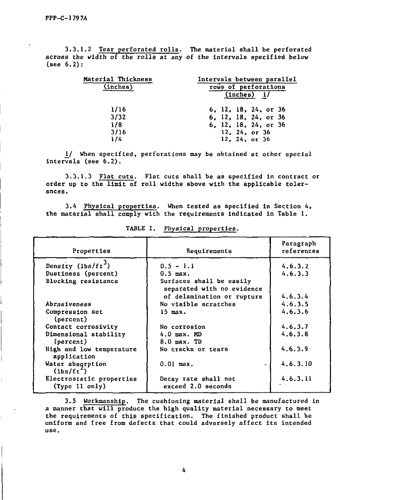$\begin{bmatrix} 1 & 0 & 0 \\ 0 & 0 & 0 \\ 0 & 0 & 0 \\ 0 & 0 & 0 \\ 0 & 0 & 0 \\ 0 & 0 & 0 \\ 0 & 0 & 0 \\ 0 & 0 & 0 \\ 0 & 0 & 0 \\ 0 & 0 & 0 \\ 0 & 0 & 0 \\ 0 & 0 & 0 \\ 0 & 0 & 0 \\ 0 & 0 & 0 & 0 \\ 0 & 0 & 0 & 0 \\ 0 & 0 & 0 & 0 \\ 0 & 0 & 0 & 0 & 0 \\ 0 & 0 & 0 & 0 & 0 \\ 0 & 0 & 0 & 0 & 0 \\ 0 & 0 & 0 & 0 & 0 &$ 

3.3.1.2 Tear perforated rolls. The material shall be perforate across the width of the rolls at any of the intervals specified below (see  $6.2$ ):

| laterial Thickness | Intervals between parallel |
|--------------------|----------------------------|
| (1nches)           | rows of perforations       |
|                    | (1nches) 1/                |
| 1/16               | 6, 12, 18, 24, or 36       |
| 3/32               | 6, 12, 18, 24, or 36       |
| 1/8                | 6, 12, 18, 24, or 36       |
| 3/16               | 12, 24, or $36$            |
| 1/4                | 12, 24, or 36              |
|                    |                            |

1/ When specified, perforations may be obtained at other special intervals (see  $6.2$ ).

 $3.3.1.3$  Fiat cuts. Flat cuts shall be as specified in contract order up to the limit of roll widths above with the applicable tolerances.

3.4 Physical properties. When tested as specified in Section 4,

3.4 Physical properties. When tested as specified in Section 4.

| Properties                                 | Requirements                                           | Paragraph<br>references |
|--------------------------------------------|--------------------------------------------------------|-------------------------|
| Density (lbs/ft <sup>3</sup> )             | $0.5 - 1.1$                                            | 4.6.3.2                 |
| Dustiness (percent)                        | $0.5$ max.                                             | 4.6.3.3                 |
| Blocking resistance                        | Surfaces shall be easily<br>separated with no evidence |                         |
|                                            | of delamination or rupture                             | 4.6.3.4                 |
| Abrasiveness                               | No visible scratches                                   | 4, 6, 3, 5              |
| Compression set<br>(percent)               | $15$ max.                                              | 4.6.3.6                 |
| Contact corrosivity                        | No corrosion                                           | 4.6.3.7                 |
| Dimensional stability<br>(percent)         | $4.0$ max. MD<br>$8.0$ max. TD                         | 4.6.3.8                 |
| High and low temperature<br>application    | No cracks or tears                                     | 4.6.3.9                 |
| Water absorption<br>$(lbs/ft^{-})$         | $0.01$ max.<br>$\bullet$                               | 4, 6, 3, 10             |
| Electrostatic properties<br>(Type II only) | Decay rate shall not<br>exceed 2.0 seconds             | 4.6.3.11                |

TABLE I. Physical properties.

3.5 Workmanship. The cushioning material shall be manufactured in a manner that will produce the high quality material necessary to meet the requirements of this specification. The finished product shall b un1i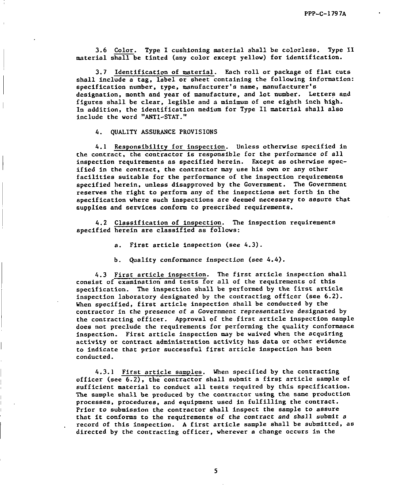3.6 Color. Type I cushioning material shall be colorless. Type 11 material shall be tinted (any color except yellow) for identification.

3.7 Identification of material. Each roll or package of flat cuts  $\frac{1}{2}$  include a tag of  $\frac{1}{2}$  include  $\frac{1}{2}$  in  $\frac{1}{2}$  in  $\frac{1}{2}$  in  $\frac{1}{2}$  in  $\frac{1}{2}$  in  $\frac{1}{2}$ specification a tag, there are concentring the rotawing specification number, type, manufacturer's name, manufacturer's<br>designation, month and year of manufacture, and lot number. Letters and figures shall be clear, legible and a minimum of one eighth inch high. In addition, the identification medium for Type 11 material shall also include the word "ANTI-STAT. "

4. QUALITY ASSURANCE PROVISIONS

4.1 Responsibility for inspection. Unless otherwise specified in the contract, the contractor is responsible for the performance of all inspection requirements as specified herein. Except as otherwise specified in the contract, the contractor may use his own or any other facilities suitable for the performance of the inspection requirements specified berein, unless disapproved by the Government. The Government reserves the right to perform any of the inspections set forth in the specification where such Inspectlone are deemed necessary to assure that supplies and services conform to prescribed requirements.

4.2 Classification of inspection. The inspection requirements specified and classified as follows:

a. First article inspection (see 4.3) .

b. Quality conformance inspection (see 4. 4).

4.3 First article inspection. The first article inspection shall consist of examination and tests for all of the requirements of this specif icatlon. The inspection shall be performed by the first article inspection laboratory designated by the contracting officer (see 6.2) . When specified, first article inspection shall be conducted by tbe contractor in che presence of a Government representative designated by the contracting officer. Approval of the first article inspection sample does not preclude the requirements for performing the quality conformance inspection. First article inspection may be waived when the acquiring activity or contract administration activity has data or other evidence to indicate the prior successful first article inspection in the successful first article inspection has been co indica

4.3.1 First article samples. When specified by the contracting officer (see  $6.2$ ), the contractor shall submit a first article sample of sufficient material to conduct all tests required by this specification. The sample shall be produced by the contractor using the same production processes, procedures, and equipment used in fulfilling the contract. Prior to submission the contractor shall inspect the sample to assure that it commission the confidence engines in contract and shall submit and record of the tequitements of the contracted shall be submitted, as directed by this imprecised. While atticle semple ones be contracted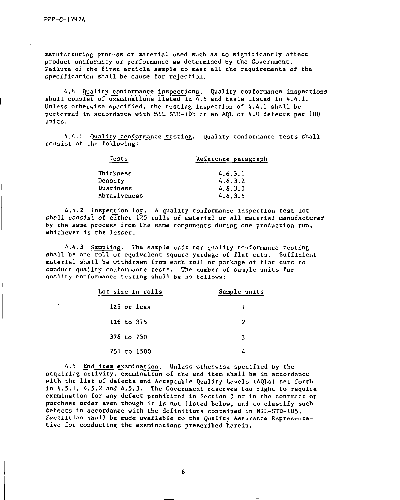manufacturing process or material used such as to significantly affected such as to significantly affected such a  $\tt{manuraccuracy}$  process or  $\tt{material using a sum of the function}$  as to significantly  $t$ product uniformity or performance as determined by the Government. Failure of the first article sample to meet all the requirements of the specification shall be cause for rejection.

 $\mathcal{A}^{\mathcal{A}}$  ality conformal to all types inspections.  $\mathcal{A}^{\mathcal{A}}$  and  $\mathcal{A}^{\mathcal{A}}$  are inspections. 4.4 <u>Quality conformance inspections</u>. Quality conformance inspections. shall consist of examinations listed in  $4.5$  and tests listed in  $4.4.1$ . Unless otherwise specified, the testing inspection of  $4.4.1$  shall be performed in accordance with MIL-STD-105 at an AQL of 4.0 defects per 100 units.

4.4.1 <u>quality cont</u>

Tests Reference paragraph

| Tests        | Reference paragraph |
|--------------|---------------------|
| Thickness    | 4.6.3.1             |
| Density      | 4, 6, 3, 2          |
| Dustiness    | 4.6.3.3             |
| Abrasiveness | 4.6.3.5             |

4.4.2 Inspection lot. A quality conformance inspection test lot shall consist of either 125 rolls of material or all material manufactured by the same process from the same components during one production run, whichever is the lesser.

4.4.3 Sampling. The sample unit for quality conformance testing shall be one roll or equivalent square yardage of flat cuts. Sufficient material shall be withdrawn from each roll or package of flat cuts to conduct quality conformance tests. The number of sample units for quality conformance testing shall be as follows:

| Lot size in rolls | Sample units |
|-------------------|--------------|
| 125 or less       |              |
| 126 to 375        | 2            |
| 376 to 750        | વ            |
| 751 to 1500       |              |

4.3 End ILEM examination of the end item shall be in a cord in a cord in a cord in a cord in a cord in a cord in a cord in a cord in a c acquiring activity, examination of the end item shall be in accordance with the list of defects and Acceptable Quality Levels (AQLs) set forth in  $4.5.1$ ,  $4.5.2$  and  $4.5.3$ . The Government reserves the right to require examination for any defect prohibited in Section 3 or in the contract or purchase order even though it is not listed below, and to classify such defects in accordance with the definitions contained in MIL-STD-105. Facilities shall be made available to the Quality Assurance Representa-<br>tive for conducting the examinations prescribed herein.

 $\begin{bmatrix} 6 \end{bmatrix}$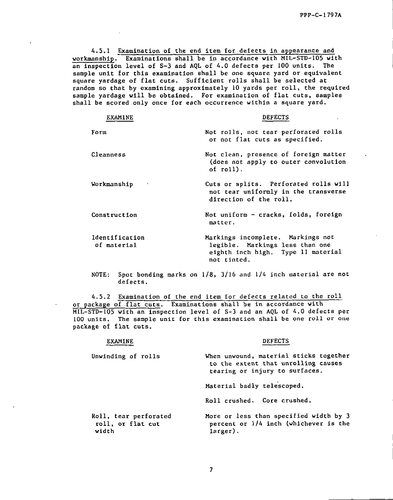4.5.1 Examination of the end item for defects in appearance and workmanship. Examinations shall be in accordance with MIL-STD-105 with an inspection level of S-3 and AQL of 4.0 defects per 100 units. The sample unit for this examination shall be one square yard or equivalent square yardage of flat cuts. Sufficient rolls shall be selected at random so that by examining approximately 10 yards per roll, the required sample yardage will be obtained. For examination of flat cuts, samples shall be scored only once for each occurrence within a square yard.

| <b>EXAMINE</b>                | <b>DEFECTS</b>                                                                                                            |
|-------------------------------|---------------------------------------------------------------------------------------------------------------------------|
| Form                          | Not rolls, not tear perforated rolls<br>or not flat cuts as specified.                                                    |
| Cleanness                     | Not clean, presence of foreign matter<br>(does not apply to outer convolution<br>of roll).                                |
| Workmanship                   | Cuts or splits. Perforated rolls will<br>not tear uniformly in the transverse<br>direction of the roll.                   |
| Construction                  | Not uniform - cracks, folds, foreign<br>matter.                                                                           |
| Identification<br>of material | Markings incomplete. Markings not<br>legible. Markings less than one<br>eighth inch high. Type II material<br>not tinted. |

NOTE: Spot bonding marks on  $1/8$ , 3/16 and  $1/4$  inch material are not defects.

4.5.2 Examination of the end item for defects related to the roll or package of flat cuts. Examinations shall be in accordance with MIL-STD-105 with an inspection level of s-3 and an AQL of 4.0 defects per 100 units. The sample unit for this examination shall be one roll or one package of flat cuts.

#### EXAMINE DEFECTS

| Unwinding of rolls                                  | When unwound, material sticks together<br>to the extent that unrolling causes<br>tearing or injury to surfaces. |
|-----------------------------------------------------|-----------------------------------------------------------------------------------------------------------------|
|                                                     | Material badly telescoped.                                                                                      |
|                                                     | Roll crushed. Core crushed.                                                                                     |
| Roll, tear perforated<br>roll, or flat cut<br>width | More or less than specified width by 3<br>percent or $1/4$ inch (whichever is the<br>larger).                   |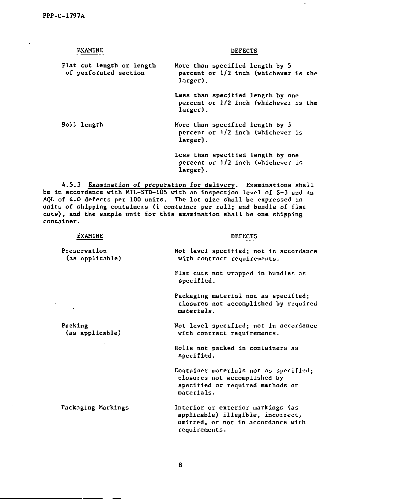$\ddot{\phantom{0}}$ 

| <b>EXAMINE</b>                                     | <b>DEFECTS</b>                                                                         |
|----------------------------------------------------|----------------------------------------------------------------------------------------|
| Flat cut length or length<br>of perforated section | More than specified length by 5<br>percent or 1/2 inch (whichever is the<br>larger).   |
|                                                    | Less than specified length by one<br>percent or 1/2 inch (whichever is the<br>larger). |
| Roll length                                        | More than specified length by 5<br>percent or $1/2$ inch (whichever is<br>larger).     |
|                                                    | Less than specified length by one<br>percent or 1/2 inch (whichever is<br>larger).     |

 $\blacksquare$ 

4.5.3 <u>Examination of preparation for deliver</u>y. Examinations shall be in accordance with MIL-STD-105 with an inspection level of S-3 and an AQL of 4.0 defects per 100 units. The lot size shall be expressed in units of shipping containers (1 container per roll; and bundle of flat cuts) , and the sample unit for this examination shall be one shipping container.

| EXAMINE                         | <b>DEFECTS</b>                                                                                                                |
|---------------------------------|-------------------------------------------------------------------------------------------------------------------------------|
| Preservation<br>(as applicable) | Not level specified; not in accordance<br>with contract requirements.                                                         |
|                                 | Flat cuts not wrapped in bundles as<br>specified.                                                                             |
|                                 | Packaging material not as specified;<br>closures not accomplished by required<br>materials.                                   |
| Packing<br>(as applicable)      | Not level specified; not in accordance<br>with contract requirements.                                                         |
|                                 | Rolls not packed in containers as<br>specified.                                                                               |
|                                 | Container materials not as specified;<br>closures not accomplished by<br>specified or required methods or<br>materials.       |
| Packaging Markings              | Interior or exterior markings (as<br>applicable) illegible, incorrect,<br>omitted, or not in accordance with<br>requirements. |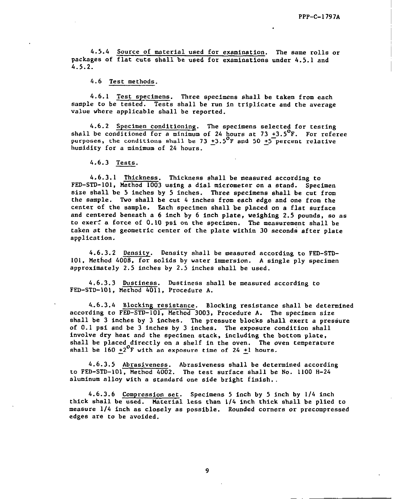4.5.4 Source of material used for examination. The same rolls or packages of flat cuts shall be used for examinations under 4.5.1 and 4.5.2.

4.6 Test methods.

4.6.1 Test specimens. Three specimens shall be taken from each sample to be tested. Tests shall be run in triplicate and the average value where applicable shall be reported.

4.6.2 Specimen conditioning. The specimens selected for testing shall be conditioned for a minimum of 24 hours at 73 +3.5 $\mathrm{^{\circ}F.}$  For referee purposes, the conditions shall be 73 +3.5<sup>0</sup>F and 50 +5<sup>-</sup>percent relative humidity for a minimum of 24 hours.

4.6.3 Tests.

4.6.3.1 Thickness. Thickness shall be measured according to FED-STD-101, Method 1003 using a dial micrometer on a stand. Specimen size shall be 5 inches by 5 inches. Three specimens shall be cut from the sample. Two shall be cut 4 inches from each edge and one from the center of the sample. Each specimen shall be placed on a flat surface and centered beneath a 6 inch by 6 inch plate, weighing 2.5 pounda, so as to exer? a force of O. 10 psi on the specimen. The measurement shall be taken at the geometric center of the plate within 30 seconds after plate application.

4.6.3.2 Density. Density shall be measured according to FED-STD-101, Method 4008, for solids by water immersion. A single ply specimen approximately 2.5 inches by 2.5 inches shall be used.

4.6.3.3 Dustiness. Dustiness shall be measured according to FED-STD-101, Method 4011, Procedure A.

4..6.3.4 Blocking resistance. Blocking resistance shall be determined according to FEO-STD-1O1, Method 3003, Procedure A. The specimen size shall be 3 inches by 3 inches. The pressure blocks shall exert a pressure of O. 1 psi and be 3 inches by 3 inches. The exposure condition shall involve dry heat and the specimen stack, including the bottom plate. shall be placed directly on a shelf in the oven. The oven temperature shall be  $160 + 2^0$ F with an exposure time of 24  $+1$  hours.

4.6.3.5 Abrasiveness. Abrasiveness shall be determined according to FED-STD-101 , Method 4002. The test surface shall be No. 1100 H-24 aluminum alloy with a standard one side bright finish.

4.6.3.6 Compression set. Specimens 5 inch by 5 inch by 1/4 inch thick shall be used. Material less than 1/4 inch thick shall be plied to measure 114 inch as closely as possible. Rounded corners or precompressed edges are to be avoided.

9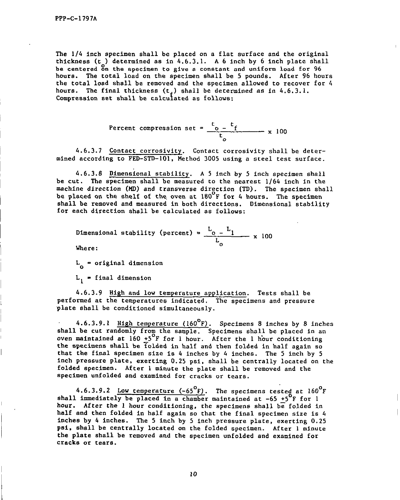The  $1/4$  inch specimen shall be placed on a flat surface and the original thickness ( $t$ ) determined as in 4.6.3.1. A 6 inch by 6 inch plate shall be centered on the specimen to give a constant and uniform load for 96 hours. The total load on the specimen shall be 5 pounds. After 96 hours the total load shall be removed and the specimen allowed to recover for 4 hours. The final thickness (t $_{\rm f}$ ) shall be dete

Percent compression set = 
$$
\frac{t_0 - t_f}{t_o}
$$
 x 100

4.6.3.7 Contact corrosivity. Contact corrosivity shall be deter-<br>mined according to FED-STD-101, Method 3005 using a steel test surface.

 $4.6.8$  Dimens $\sim$   $5.8$  inch specimen shall be  $5.8$  inch specimen shall by  $5.5$ 4.6.3.8 Dimensional stability. A 5 inch by 5 inch specimen shall be cut. The specimen shall be measured to the nearest 1/64 inch in the machine direction (MD) and transverse direction (TD). The specimen shall be placed on the shelf of the oven at  $180^{\circ}$ F for 4 hours. The specimen shall be removed and measured in both directions. Dimensional stability for each direction shall be calculated as follows:

Dimensional stability (percent) = 
$$
\frac{L_0 - L_1}{L_0}
$$
 x 100  
Where:

i<br>I

I<br>|<br>|

 $L_{\alpha}$  = original dimension

 $4.6\pm0.3$  High and low temperature application. The shall behavior application. Tests shall be shall behavior. The shall behavior  $\alpha$ 4.6.3.9 <u>High and low temperature application</u>. Tests shall be performed at the temperatures indicated. The specimens and pressure plate shall be conditioned simultaneously.

 $\overline{\phantom{a}}$ **shall be computed in the curre** (160°F). Specimens 8 inches by 8 inch snail be cut randomly from the sample. Specimens shall be placed in oven maintained at  $160 \frac{1}{2}$  F for I hour. After the I hour conditioning the specimens shall be folded in half and then folded in half again so that the final specimen size is 4 inches by 4 inches. The 5 inch by 5 inch pressure plate, exerting 0.25 psi, shall be centrally located on the folded specimen. After l minute the plate shall be removed and the specimen unfolded and examined for cracks or tears.

 $\overline{6}$ 4.6.3.9.2 Low temperature  $(-65 \text{ F})$ . The specimens tested at  $160$ shall immediately be placed in a chamber maintained at  $-65$  +5<sup>o</sup>F for l hour. After the I hour conditioning, the specimens shall be folded in half and then folded in half again so that the final specimen size is 4 inches by 4 inches. The 5 inch by 5 inch pressure plate, exerting  $0.25$ psi, shall be centrally located on the folded specimen. After 1 minute the plate shall be removed and the specimen unfolded and examined for cracks or tears.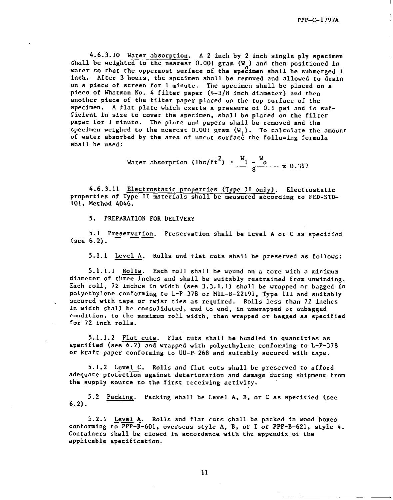4.6.3.10 Water absorption. A 2 inch by 2 inch single ply specime shall be weighted to the nearest  $0.001$  gram (W ) and then positioned in water so that the uppermost surface of the specimen shall be submerged l inch. After 3 hours, the specimen shall be removed and allowed to drain on a piece of screen for 1 minute. The specimen shall be placed on a piece of Whatman No. 4 filter paper  $(4-3/8$  inch diameter) and then another piece of the filter paper placed on the top surface of the specimen. A flat plate which exerts a pressure of O. 1 psi and is sufficient in size to cover the specimen, shall be placed on the filter paper for 1 minute. The plate and papers shall be removed and the specimen weighed to the nearest  $0.001$  gram  $(W_1)$ . To calculate the amount of water absorbed by the area of uncut surface the following formula shall be used:

Water absorption (lbs/ft<sup>2</sup>) = 
$$
\frac{W_1 - W_0}{8}
$$
 x 0.317

4.6.3.11 Electrostatic properties (Type 11 only) . Electrostatic properties of Type II materials shall be measured according to FED-STD-101, Method 4046.

5. PREPARATION FOR DELIVERY

5.1 Preservation. Preservation shall be Level A or C as specified (see 6.2).

5. 1.1 Level A. Rolls and flat cuts shall be preserved as follows:

5. 1.1.1 Rolls. Each roll shall be wound on a core with a minimum diameter of three inches and shall be suitably restrained from unwinding. Each roll, 72 inches in width (see 3.3.1. 1) shall be wrapped or bagged in polyethylene conforming to L-P-378 or MIL-B-22191 , Type 111 and suitably secured with cape or twist ties as required. Rolls less than 72 inches in width aball be consolidated, end to end, in unwrapped or unbagged condition, to the maximum roll width, then wrapped or bagged as specified for 72 inch rolls.

5. 1.1.2 Flat cuts. Flat cuts shall be bundled in quantities as specified (see  $6.2$ ) and wrapped with polyethylene conforming to  $L-P-378$ or kraft paper conforming to UU-P-26B and suitably secured with tape.

5. 1.2 Level C. Rolls and flat cuts shall be preserved to afford adequate protection against deterioration and damage during shipment from the supply source to the first receiving activity.

5.2 Packing. Packing shall be Level A, B, or C as specified (see 6.2).

5.2.1 Level A. Rolls and flat cuts shall be packed in wood boxes conforming to  $\overline{PP-B}-601$ , overseas style A, B, or I or  $PPP-B-621$ , style 4. Containers shall be closed in accordance with the appendix of the applicable specification.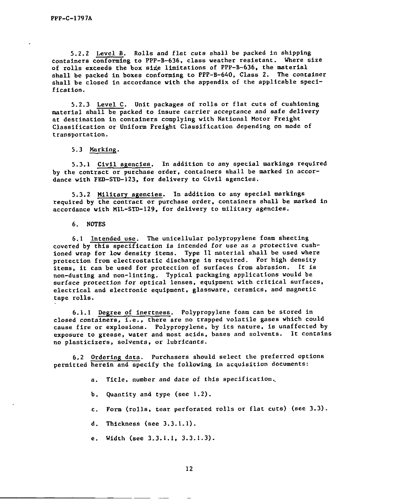5.2.2 Level B. Rolls and flat cuts shall be packed in shipping containers conforming to PPP-B-636, class weather resistant. Where size of rolls exceeds the box size limitations of PPP-B-636, the material shall be packed in boxes conforming to PPP-B-640, Class 2. The container shall be closed in accordance with the appendix of the applicable specification.

5.2.3 Level C. Unit packages of rolls or flat cuts of cushioning material shall be packed to insure carrier acceptance and safe delivery at destination in containers complying with National Motor Freight Classification or Uniform Freight Classification depending on mode of transportation.

5.3 Marking.

5.3.1 Civil agencies. In addition to any special markings required by the contract or purchase order, containers shall be marked in accordance with FED-STD-123, for delivery to Civil agencies.

5.3.2 Military agencies. In addition to any special markings required by the contract or purchase order, containers shall be marked in accordance with kfIL-STD-129, for delivery to military agencies.

#### 6. NOTES

6.1 Intended use. The unicellular polypropylene foam sheeting covered by this specification is intended for use as a protective cushioned wrap for low density items. Type 11 material shall be used where protection from electrostatic discharge is required. For high density items, it can be used for protection of surfaces from abrasion. It is non-dusting and non-linting. Typical packsging applications would be surface protection for optical lenses, equipment with critical surfaces, electrical and electronic equipment, glassware, ceramics, and magnetic tape rolls.

6. 1.1 Degree of inertness. Polypropylene foam can be stored in closed containers, i.e., there are no trapped volatile gases which could cause fire or explosions. Polypropylene, by its nature, is unaffected by exposure to grease, water and most acids, bases and solvents. It contains no plasticizers, solvents, or lubricants.

6.2 Ordering data. Purchasers should select the preferred options permitted herein and specify the following in acquisition documents:

a. Title, number and date of this specification..

b. Quantity and type (see 1.2) .

c. Form (rolls, tear perforated rolls or flat cuts) (see 3.3) .

d. Thickness (see 3.3. 1.1).

e. Width (see 3.3.1.1, 3.3.1.3).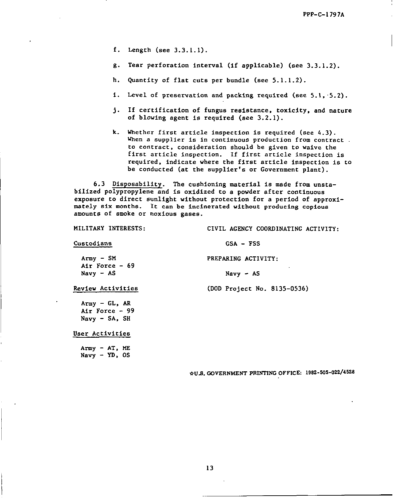- f. Length (see 3.3.1.1).
- 8. Tear perforation interval (if applicable) (see 3.3. 1.2) .
- h. Quantity of flat cuts per bundle (see 5.1. 1.2).
- i. Level of preservation and packing required (see 5.1, 5. 2) .
- j. If certification of fungus resistance, toxicity, and nature of blowing agent is required (see 3.2. 1) .
- k. Whether first article inspection is required (see 4.3) . When a supplier is in continuous production from contract. to contract , consideration should be given to waive the first article inspection. If first article Inspection is required, indicate where the first article inspection is to be conducted (at the supplier's or Government plant) .

6.3 Disposability. The cushioning material is made from unstabilized polypropylene and is oxidized to a powder after continuous exposure to direct eunlight without protection for a period of approximately six ❑onths. It can be incinerated without producing copious amounts of smoke or noxious gases.

MILITARY INTERESTS: CIVIL AGENCY COORDINATING ACTIVITY:

#### Custodians GSA - FSS

Army - SM PREPARING ACTIVITY:

Navy - AS Navy - AS

Review Activities (DOD Project No. 8135-0536)

Air Force - 69

 $A$ rmy -  $GL$ ,  $AR$ Air Force - 99 Navy - 5A, SH

User Activities

Army - AT, MS  $Navy - YD$ ,  $OS$ 

\*US. GOVERNMENT PRtN'lTNGOFFICE 1982-505-022/4528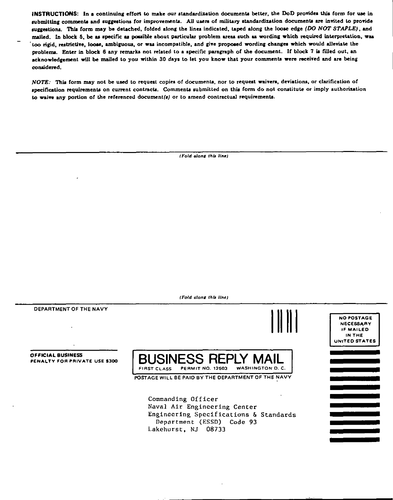INSTRUCTIONS: In a continuing effort to make our standardization documents better, the DoD provides this form for use in submitting comments and suggestions for improvements. All users of military standardization documents are invited to provide suggestions. This form may be detached, folded along the lines indicated, taped along the loose edge (DO NOT STAPLE), and mailed. In block 5, be as specific as possible about particular problem areas such as wording which required interpretation, was too rigid, restrictive, loose, ambiguous, or was incompatible, and give proposed wording changes which would alleviate the problems. Enter in block 6 any remarks not related to a specific paragraph of the document. If block 7 is filled out, an acknowledgement will be mailed to you within 30 days to let you know that your comments were received and are being considered.

NOTE: This form may not be used to request copies of documents, nor to request waivers, deviations, or clarification of specification requirements on current contracts. Comments submitted on this form do not constitute or imply authorization to waive any portion of the referenced document(s) or to amend contractual requirements.

(Fold along this line)

(Fold clong this line)